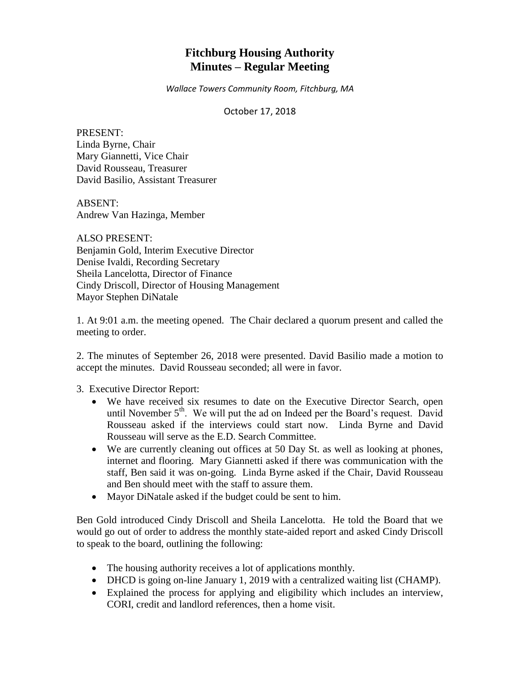# **Fitchburg Housing Authority Minutes – Regular Meeting**

*Wallace Towers Community Room, Fitchburg, MA*

October 17, 2018

PRESENT: Linda Byrne, Chair Mary Giannetti, Vice Chair David Rousseau, Treasurer David Basilio, Assistant Treasurer

ABSENT: Andrew Van Hazinga, Member

ALSO PRESENT: Benjamin Gold, Interim Executive Director Denise Ivaldi, Recording Secretary Sheila Lancelotta, Director of Finance Cindy Driscoll, Director of Housing Management Mayor Stephen DiNatale

1. At 9:01 a.m. the meeting opened. The Chair declared a quorum present and called the meeting to order.

2. The minutes of September 26, 2018 were presented. David Basilio made a motion to accept the minutes. David Rousseau seconded; all were in favor.

3. Executive Director Report:

- We have received six resumes to date on the Executive Director Search, open until November  $5<sup>th</sup>$ . We will put the ad on Indeed per the Board's request. David Rousseau asked if the interviews could start now. Linda Byrne and David Rousseau will serve as the E.D. Search Committee.
- We are currently cleaning out offices at 50 Day St. as well as looking at phones, internet and flooring. Mary Giannetti asked if there was communication with the staff, Ben said it was on-going. Linda Byrne asked if the Chair, David Rousseau and Ben should meet with the staff to assure them.
- Mayor DiNatale asked if the budget could be sent to him.

Ben Gold introduced Cindy Driscoll and Sheila Lancelotta. He told the Board that we would go out of order to address the monthly state-aided report and asked Cindy Driscoll to speak to the board, outlining the following:

- The housing authority receives a lot of applications monthly.
- DHCD is going on-line January 1, 2019 with a centralized waiting list (CHAMP).
- Explained the process for applying and eligibility which includes an interview, CORI, credit and landlord references, then a home visit.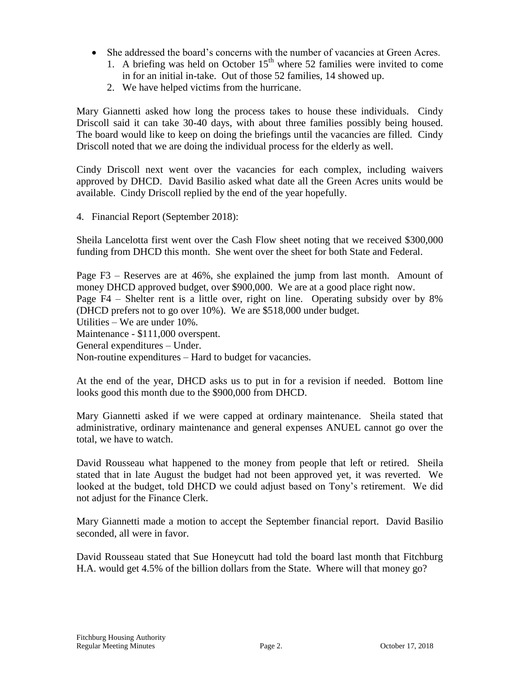- She addressed the board's concerns with the number of vacancies at Green Acres.
	- 1. A briefing was held on October  $15<sup>th</sup>$  where 52 families were invited to come in for an initial in-take. Out of those 52 families, 14 showed up.
	- 2. We have helped victims from the hurricane.

Mary Giannetti asked how long the process takes to house these individuals. Cindy Driscoll said it can take 30-40 days, with about three families possibly being housed. The board would like to keep on doing the briefings until the vacancies are filled. Cindy Driscoll noted that we are doing the individual process for the elderly as well.

Cindy Driscoll next went over the vacancies for each complex, including waivers approved by DHCD. David Basilio asked what date all the Green Acres units would be available. Cindy Driscoll replied by the end of the year hopefully.

4. Financial Report (September 2018):

Sheila Lancelotta first went over the Cash Flow sheet noting that we received \$300,000 funding from DHCD this month. She went over the sheet for both State and Federal.

Page F3 – Reserves are at 46%, she explained the jump from last month. Amount of money DHCD approved budget, over \$900,000. We are at a good place right now. Page F4 – Shelter rent is a little over, right on line. Operating subsidy over by 8% (DHCD prefers not to go over 10%). We are \$518,000 under budget. Utilities – We are under 10%. Maintenance - \$111,000 overspent. General expenditures – Under. Non-routine expenditures – Hard to budget for vacancies.

At the end of the year, DHCD asks us to put in for a revision if needed. Bottom line looks good this month due to the \$900,000 from DHCD.

Mary Giannetti asked if we were capped at ordinary maintenance. Sheila stated that administrative, ordinary maintenance and general expenses ANUEL cannot go over the total, we have to watch.

David Rousseau what happened to the money from people that left or retired. Sheila stated that in late August the budget had not been approved yet, it was reverted. We looked at the budget, told DHCD we could adjust based on Tony's retirement. We did not adjust for the Finance Clerk.

Mary Giannetti made a motion to accept the September financial report. David Basilio seconded, all were in favor.

David Rousseau stated that Sue Honeycutt had told the board last month that Fitchburg H.A. would get 4.5% of the billion dollars from the State. Where will that money go?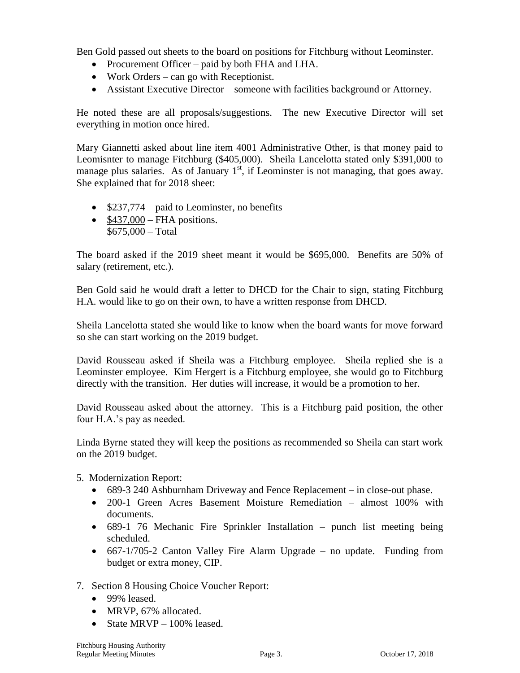Ben Gold passed out sheets to the board on positions for Fitchburg without Leominster.

- Procurement Officer paid by both FHA and LHA.
- Work Orders can go with Receptionist.
- Assistant Executive Director someone with facilities background or Attorney.

He noted these are all proposals/suggestions. The new Executive Director will set everything in motion once hired.

Mary Giannetti asked about line item 4001 Administrative Other, is that money paid to Leomisnter to manage Fitchburg (\$405,000). Sheila Lancelotta stated only \$391,000 to manage plus salaries. As of January  $1<sup>st</sup>$ , if Leominster is not managing, that goes away. She explained that for 2018 sheet:

- $\bullet$  \$237,774 paid to Leominster, no benefits
- $\bullet$  \$437,000 FHA positions. \$675,000 – Total

The board asked if the 2019 sheet meant it would be \$695,000. Benefits are 50% of salary (retirement, etc.).

Ben Gold said he would draft a letter to DHCD for the Chair to sign, stating Fitchburg H.A. would like to go on their own, to have a written response from DHCD.

Sheila Lancelotta stated she would like to know when the board wants for move forward so she can start working on the 2019 budget.

David Rousseau asked if Sheila was a Fitchburg employee. Sheila replied she is a Leominster employee. Kim Hergert is a Fitchburg employee, she would go to Fitchburg directly with the transition. Her duties will increase, it would be a promotion to her.

David Rousseau asked about the attorney. This is a Fitchburg paid position, the other four H.A.'s pay as needed.

Linda Byrne stated they will keep the positions as recommended so Sheila can start work on the 2019 budget.

- 5. Modernization Report:
	- 689-3 240 Ashburnham Driveway and Fence Replacement in close-out phase.
	- 200-1 Green Acres Basement Moisture Remediation almost 100% with documents.
	- 689-1 76 Mechanic Fire Sprinkler Installation punch list meeting being scheduled.
	- 667-1/705-2 Canton Valley Fire Alarm Upgrade no update. Funding from budget or extra money, CIP.
- 7. Section 8 Housing Choice Voucher Report:
	- 99% leased.
	- MRVP, 67% allocated.
	- State MRVP 100% leased.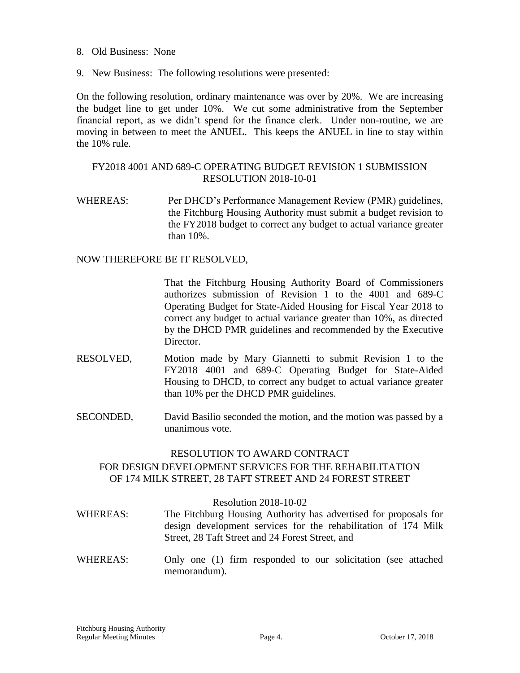- 8. Old Business: None
- 9. New Business: The following resolutions were presented:

On the following resolution, ordinary maintenance was over by 20%. We are increasing the budget line to get under 10%. We cut some administrative from the September financial report, as we didn't spend for the finance clerk. Under non-routine, we are moving in between to meet the ANUEL. This keeps the ANUEL in line to stay within the 10% rule.

## FY2018 4001 AND 689-C OPERATING BUDGET REVISION 1 SUBMISSION RESOLUTION 2018-10-01

WHEREAS: Per DHCD's Performance Management Review (PMR) guidelines, the Fitchburg Housing Authority must submit a budget revision to the FY2018 budget to correct any budget to actual variance greater than 10%.

NOW THEREFORE BE IT RESOLVED,

That the Fitchburg Housing Authority Board of Commissioners authorizes submission of Revision 1 to the 4001 and 689-C Operating Budget for State-Aided Housing for Fiscal Year 2018 to correct any budget to actual variance greater than 10%, as directed by the DHCD PMR guidelines and recommended by the Executive Director.

- RESOLVED, Motion made by Mary Giannetti to submit Revision 1 to the FY2018 4001 and 689-C Operating Budget for State-Aided Housing to DHCD, to correct any budget to actual variance greater than 10% per the DHCD PMR guidelines.
- SECONDED, David Basilio seconded the motion, and the motion was passed by a unanimous vote.

#### RESOLUTION TO AWARD CONTRACT

# FOR DESIGN DEVELOPMENT SERVICES FOR THE REHABILITATION OF 174 MILK STREET, 28 TAFT STREET AND 24 FOREST STREET

#### Resolution 2018-10-02

- WHEREAS: The Fitchburg Housing Authority has advertised for proposals for design development services for the rehabilitation of 174 Milk Street, 28 Taft Street and 24 Forest Street, and
- WHEREAS: Only one (1) firm responded to our solicitation (see attached memorandum).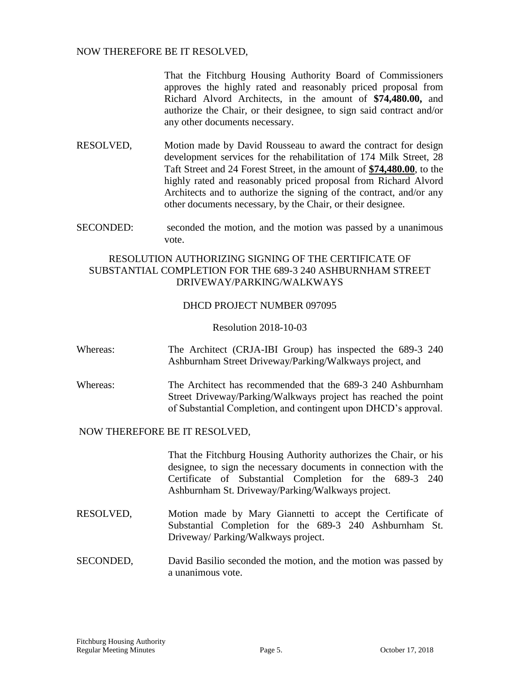## NOW THEREFORE BE IT RESOLVED,

That the Fitchburg Housing Authority Board of Commissioners approves the highly rated and reasonably priced proposal from Richard Alvord Architects, in the amount of **\$74,480.00,** and authorize the Chair, or their designee, to sign said contract and/or any other documents necessary.

- RESOLVED, Motion made by David Rousseau to award the contract for design development services for the rehabilitation of 174 Milk Street, 28 Taft Street and 24 Forest Street, in the amount of **\$74,480.00**, to the highly rated and reasonably priced proposal from Richard Alvord Architects and to authorize the signing of the contract, and/or any other documents necessary, by the Chair, or their designee.
- SECONDED: seconded the motion, and the motion was passed by a unanimous vote.

# RESOLUTION AUTHORIZING SIGNING OF THE CERTIFICATE OF SUBSTANTIAL COMPLETION FOR THE 689-3 240 ASHBURNHAM STREET DRIVEWAY/PARKING/WALKWAYS

## DHCD PROJECT NUMBER 097095

#### Resolution 2018-10-03

- Whereas: The Architect (CRJA-IBI Group) has inspected the 689-3 240 Ashburnham Street Driveway/Parking/Walkways project, and
- Whereas: The Architect has recommended that the 689-3 240 Ashburnham Street Driveway/Parking/Walkways project has reached the point of Substantial Completion, and contingent upon DHCD's approval.

## NOW THEREFORE BE IT RESOLVED,

That the Fitchburg Housing Authority authorizes the Chair, or his designee, to sign the necessary documents in connection with the Certificate of Substantial Completion for the 689-3 240 Ashburnham St. Driveway/Parking/Walkways project.

- RESOLVED, Motion made by Mary Giannetti to accept the Certificate of Substantial Completion for the 689-3 240 Ashburnham St. Driveway/ Parking/Walkways project.
- SECONDED, David Basilio seconded the motion, and the motion was passed by a unanimous vote.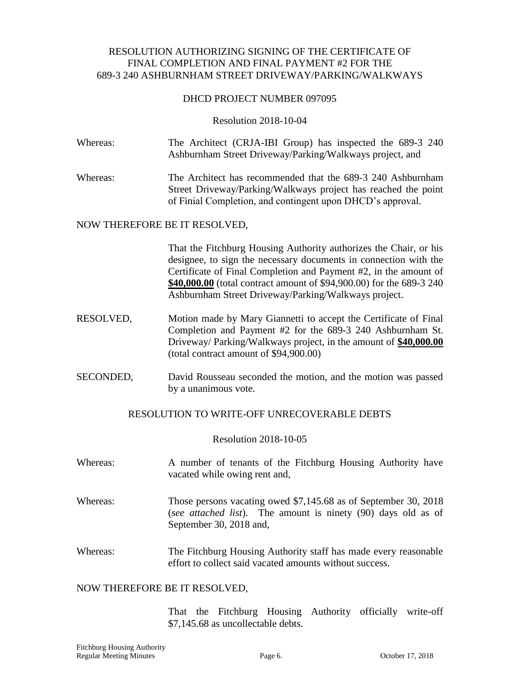## RESOLUTION AUTHORIZING SIGNING OF THE CERTIFICATE OF FINAL COMPLETION AND FINAL PAYMENT #2 FOR THE 689-3 240 ASHBURNHAM STREET DRIVEWAY/PARKING/WALKWAYS

## DHCD PROJECT NUMBER 097095

#### Resolution 2018-10-04

| Whereas: | The Architect (CRJA-IBI Group) has inspected the 689-3 240 |  |  |  |  |  |  |  |
|----------|------------------------------------------------------------|--|--|--|--|--|--|--|
|          | Ashburnham Street Driveway/Parking/Walkways project, and   |  |  |  |  |  |  |  |

Whereas: The Architect has recommended that the 689-3 240 Ashburnham Street Driveway/Parking/Walkways project has reached the point of Finial Completion, and contingent upon DHCD's approval.

#### NOW THEREFORE BE IT RESOLVED,

That the Fitchburg Housing Authority authorizes the Chair, or his designee, to sign the necessary documents in connection with the Certificate of Final Completion and Payment #2, in the amount of **\$40,000.00** (total contract amount of \$94,900.00) for the 689-3 240 Ashburnham Street Driveway/Parking/Walkways project.

- RESOLVED, Motion made by Mary Giannetti to accept the Certificate of Final Completion and Payment #2 for the 689-3 240 Ashburnham St. Driveway/ Parking/Walkways project, in the amount of **\$40,000.00** (total contract amount of \$94,900.00)
- SECONDED, David Rousseau seconded the motion, and the motion was passed by a unanimous vote.

## RESOLUTION TO WRITE-OFF UNRECOVERABLE DEBTS

#### Resolution 2018-10-05

- Whereas: A number of tenants of the Fitchburg Housing Authority have vacated while owing rent and,
- Whereas: Those persons vacating owed \$7,145.68 as of September 30, 2018 (*see attached list*). The amount is ninety (90) days old as of September 30, 2018 and,
- Whereas: The Fitchburg Housing Authority staff has made every reasonable effort to collect said vacated amounts without success.

#### NOW THEREFORE BE IT RESOLVED,

That the Fitchburg Housing Authority officially write-off \$7,145.68 as uncollectable debts.